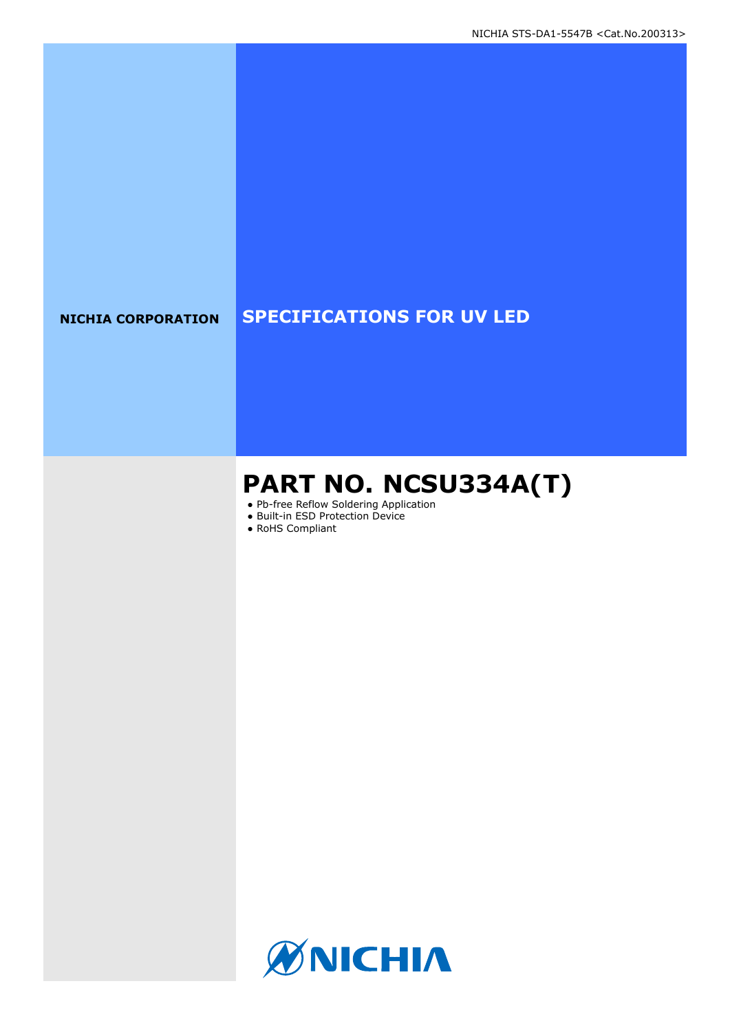## **NICHIA CORPORATION SPECIFICATIONS FOR UV LED**

## **PART NO. NCSU334A(T)**

- Pb-free Reflow Soldering Application
- Built-in ESD Protection Device
- RoHS Compliant

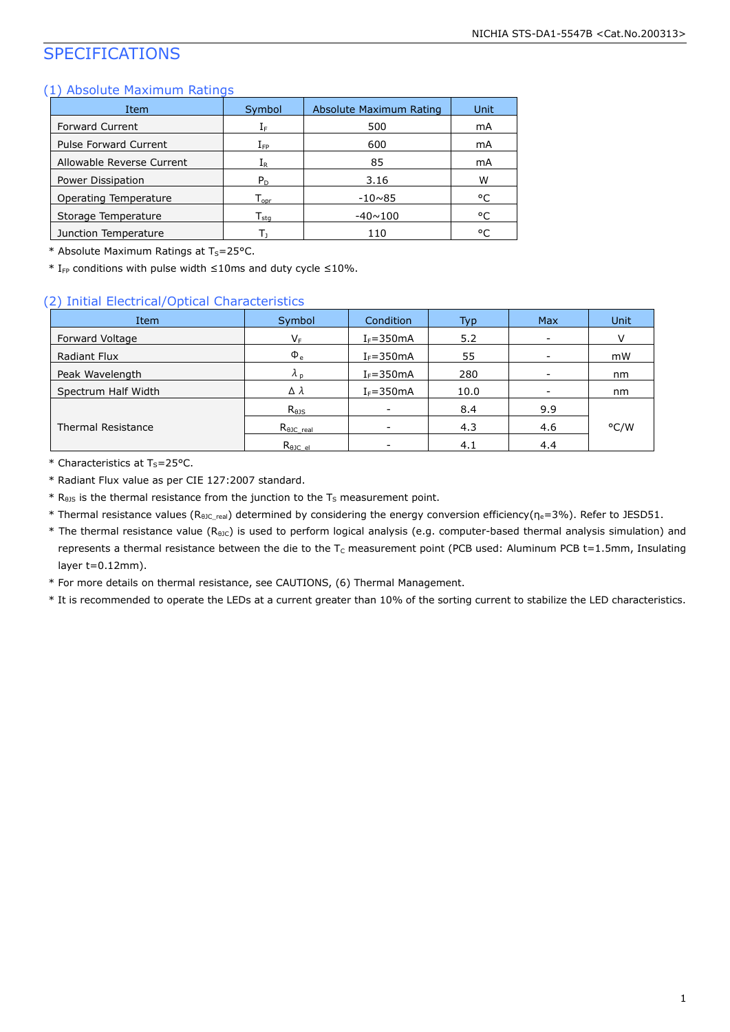## SPECIFICATIONS

### (1) Absolute Maximum Ratings

| Item                         | Symbol                       | Absolute Maximum Rating | Unit |
|------------------------------|------------------------------|-------------------------|------|
| <b>Forward Current</b>       | ΙF                           | 500                     | mA   |
| <b>Pulse Forward Current</b> | $\rm I_{FP}$                 | 600                     | mA   |
| Allowable Reverse Current    | Ιĸ                           | 85                      | mA   |
| Power Dissipation            | $P_{D}$                      | 3.16                    | W    |
| Operating Temperature        | $T_{\text{opr}}$             | $-10\nu 85$             | °C   |
| Storage Temperature          | ${\mathsf T}_{\textsf{sta}}$ | $-40 \sim 100$          | °C   |
| Junction Temperature         |                              | 110                     | ۰ς   |

\* Absolute Maximum Ratings at  $T_S = 25$ °C.

 $*$  I<sub>FP</sub> conditions with pulse width ≤10ms and duty cycle ≤10%.

#### (2) Initial Electrical/Optical Characteristics

| Item                | Symbol              | Condition     | Typ  | <b>Max</b>               | Unit |
|---------------------|---------------------|---------------|------|--------------------------|------|
| Forward Voltage     | $V_F$               | $I_F = 350mA$ | 5.2  | $\overline{\phantom{0}}$ |      |
| Radiant Flux        | $\Phi_e$            | $I_F = 350mA$ | 55   |                          | mW   |
| Peak Wavelength     | $\lambda_{\rm n}$   | $I_F = 350mA$ | 280  | -                        | nm   |
| Spectrum Half Width | Δλ                  | $I_F = 350mA$ | 10.0 | $\overline{\phantom{a}}$ | nm   |
|                     | $R_{\theta}$        |               | 8.4  | 9.9                      |      |
| Thermal Resistance  | $R_{\theta$ JC real |               | 4.3  | 4.6                      | °C/W |
|                     | $R_{\theta$ JC_el   |               | 4.1  | 4.4                      |      |

 $*$  Characteristics at T<sub>s</sub>=25°C.

\* Radiant Flux value as per CIE 127:2007 standard.

 $*$  R<sub>0JS</sub> is the thermal resistance from the junction to the T<sub>S</sub> measurement point.

\* Thermal resistance values (R<sub>θJC\_real</sub>) determined by considering the energy conversion efficiency(η<sub>e</sub>=3%). Refer to JESD51.

\* The thermal resistance value (R<sub>9JC</sub>) is used to perform logical analysis (e.g. computer-based thermal analysis simulation) and represents a thermal resistance between the die to the T<sub>C</sub> measurement point (PCB used: Aluminum PCB t=1.5mm, Insulating layer t=0.12mm).

\* For more details on thermal resistance, see CAUTIONS, (6) Thermal Management.

\* It is recommended to operate the LEDs at a current greater than 10% of the sorting current to stabilize the LED characteristics.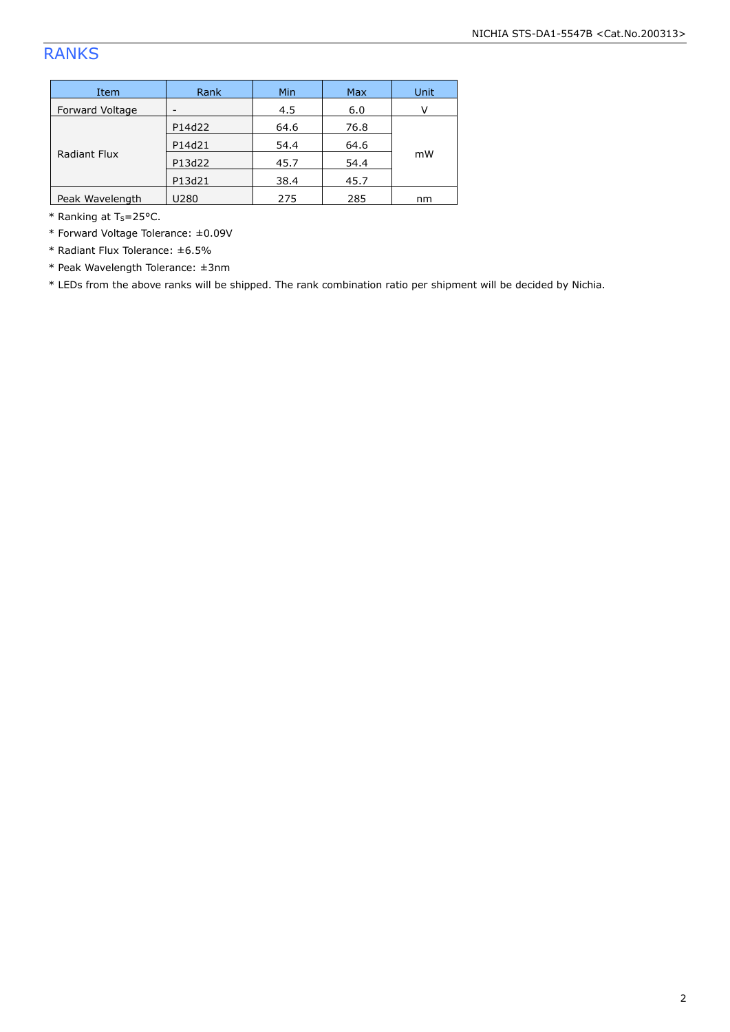## RANKS

| Item                   | Rank   | <b>Min</b> | <b>Max</b> | <b>Unit</b> |  |
|------------------------|--------|------------|------------|-------------|--|
| <b>Forward Voltage</b> |        | 4.5        | 6.0        |             |  |
| Radiant Flux           | P14d22 | 64.6       | 76.8       |             |  |
|                        | P14d21 | 54.4       | 64.6       |             |  |
|                        | P13d22 | 45.7       | 54.4       | mW          |  |
|                        | P13d21 | 38.4       | 45.7       |             |  |
| Peak Wavelength        | U280   | 275        | 285        | nm          |  |

 $*$  Ranking at T<sub>s</sub>=25°C.

\* Forward Voltage Tolerance: ±0.09V

\* Radiant Flux Tolerance: ±6.5%

\* Peak Wavelength Tolerance: ±3nm

\* LEDs from the above ranks will be shipped. The rank combination ratio per shipment will be decided by Nichia.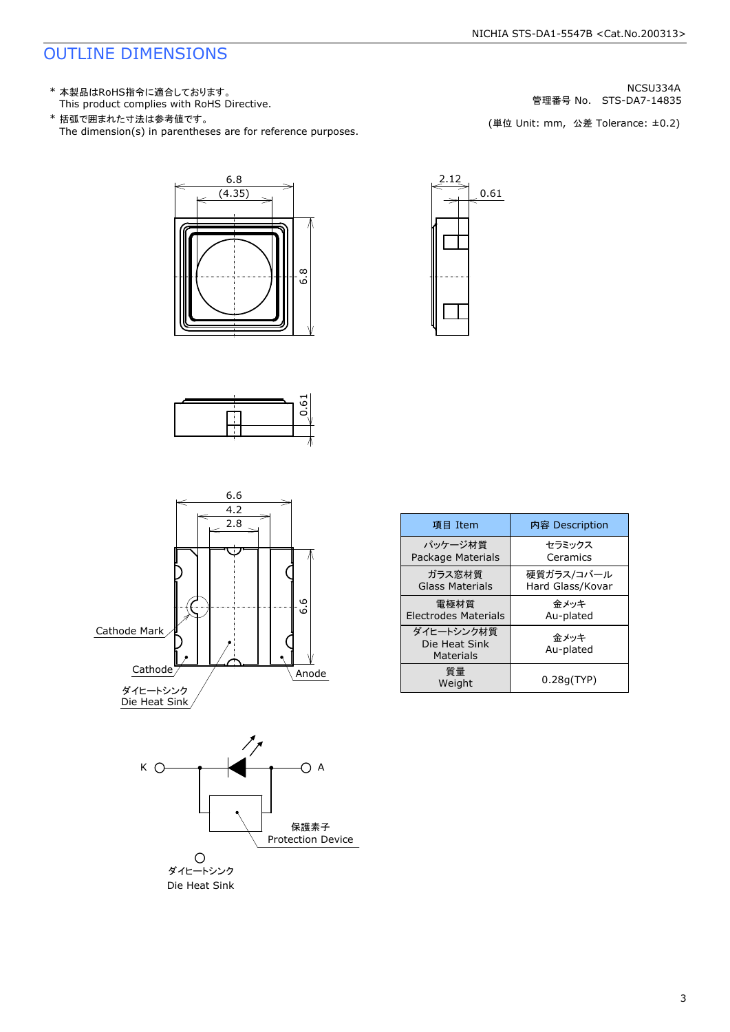## OUTLINE DIMENSIONS

- 
- \* 本製品はRoHS指令に適合しております。<br>This product complies with RoHS Directive. \* ポインプリックのことについて、 はっというのは、 はっというのは、 STS-DA7-14835<br>\* 括弧で囲まれた寸法は参考値です。 STS-DA7-14835 NOLL STS-DA7-14835 NOLL STS-DA7-14835<br>The dimension(s) in parentheses a
	- 管理番号 No.











| 項目 Item                                  |  | 内容 Description                 |  |
|------------------------------------------|--|--------------------------------|--|
| パッケージ材質<br>Package Materials             |  | セラミックス<br>Ceramics             |  |
| ガラス窓材質<br>Glass Materials                |  | 硬質ガラス/コバール<br>Hard Glass/Kovar |  |
| 雷極材質<br><b>Electrodes Materials</b>      |  | 金メッキ<br>Au-plated              |  |
| ダイヒートシンク材質<br>Die Heat Sink<br>Materials |  | 金メッキ<br>Au-plated              |  |
| 質量<br>Weight                             |  | 0.28q(TYP)                     |  |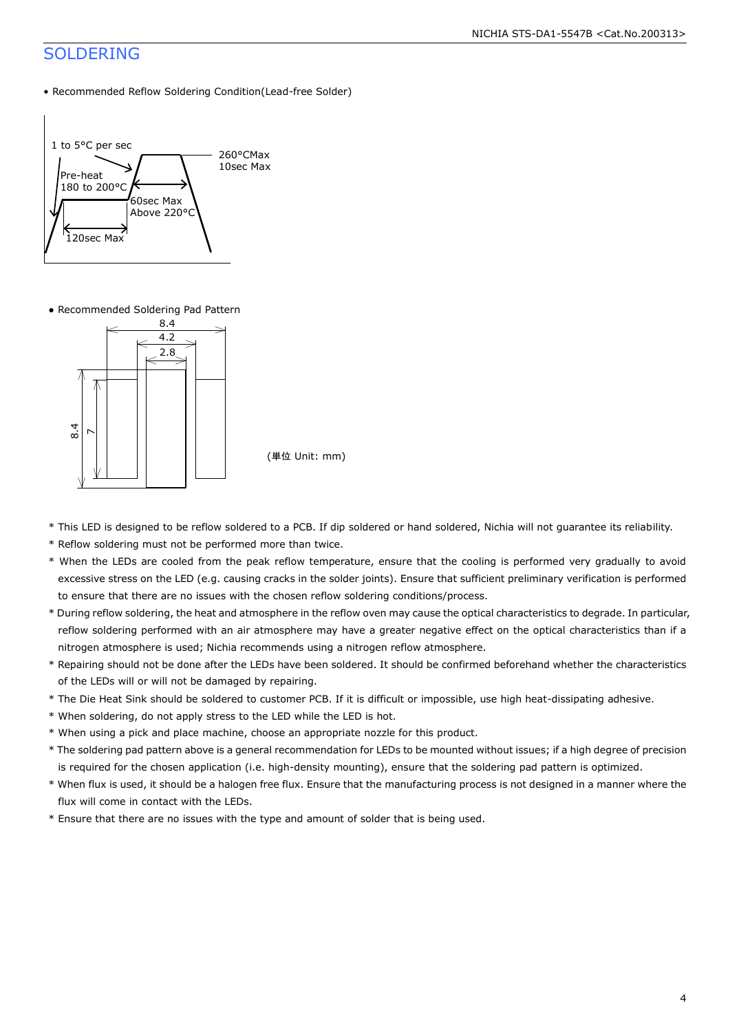### SOLDERING

• Recommended Reflow Soldering Condition(Lead-free Solder)



● Recommended Soldering Pad Pattern



(単位 Unit: mm)

- \* This LED is designed to be reflow soldered to a PCB. If dip soldered or hand soldered, Nichia will not guarantee its reliability.
- \* Reflow soldering must not be performed more than twice.
- \* When the LEDs are cooled from the peak reflow temperature, ensure that the cooling is performed very gradually to avoid excessive stress on the LED (e.g. causing cracks in the solder joints). Ensure that sufficient preliminary verification is performed to ensure that there are no issues with the chosen reflow soldering conditions/process.
- \* During reflow soldering, the heat and atmosphere in the reflow oven may cause the optical characteristics to degrade. In particular, reflow soldering performed with an air atmosphere may have a greater negative effect on the optical characteristics than if a nitrogen atmosphere is used; Nichia recommends using a nitrogen reflow atmosphere.
- \* Repairing should not be done after the LEDs have been soldered. It should be confirmed beforehand whether the characteristics of the LEDs will or will not be damaged by repairing.
- \* The Die Heat Sink should be soldered to customer PCB. If it is difficult or impossible, use high heat-dissipating adhesive.
- \* When soldering, do not apply stress to the LED while the LED is hot.
- \* When using a pick and place machine, choose an appropriate nozzle for this product.
- \* The soldering pad pattern above is a general recommendation for LEDs to be mounted without issues; if a high degree of precision is required for the chosen application (i.e. high-density mounting), ensure that the soldering pad pattern is optimized.
- \* When flux is used, it should be a halogen free flux. Ensure that the manufacturing process is not designed in a manner where the flux will come in contact with the LEDs.
- \* Ensure that there are no issues with the type and amount of solder that is being used.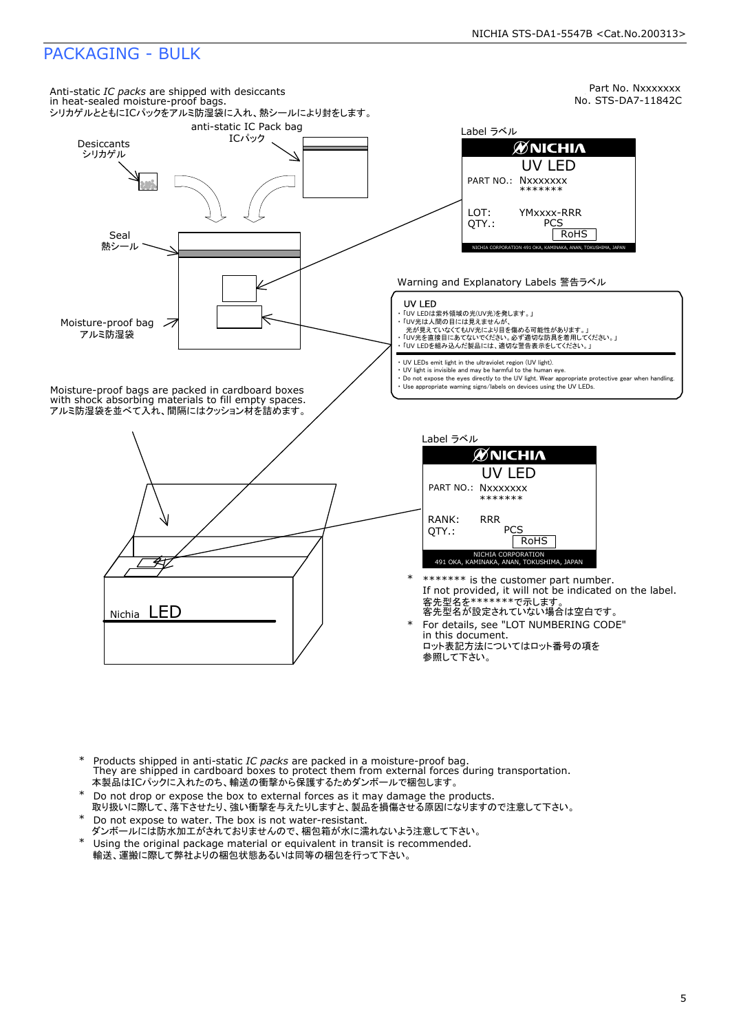## PACKAGING - BULK



- Products shipped in anti-static *IC packs* are packed in a moisture-proof bag.<br>They are shipped in cardboard boxes to protect them from external forces during transportation. 本製品はICパックに入れたのち、輸送の衝撃から保護するためダンボールで梱包します。 \*
- Do not drop or expose the box to external forces as it may damage the products. 取り扱いに際して、落下させたり、強い衝撃を与えたりしますと、製品を損傷させる原因になりますので注意して下さい。 \*
- Do not expose to water. The box is not water-resistant. ダンボールには防水加工がされておりませんので、梱包箱が水に濡れないよう注意して下さい。 \*
- Using the original package material or equivalent in transit is recommended. 輸送、運搬に際して弊社よりの梱包状態あるいは同等の梱包を行って下さい。 \*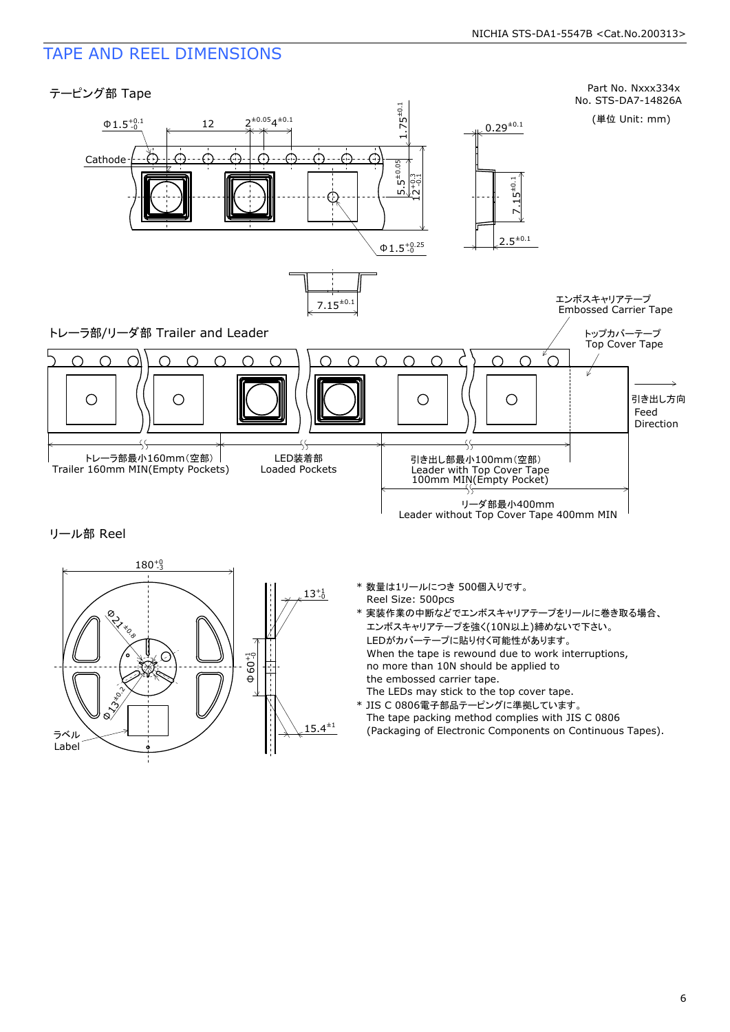## TAPE AND REEL DIMENSIONS

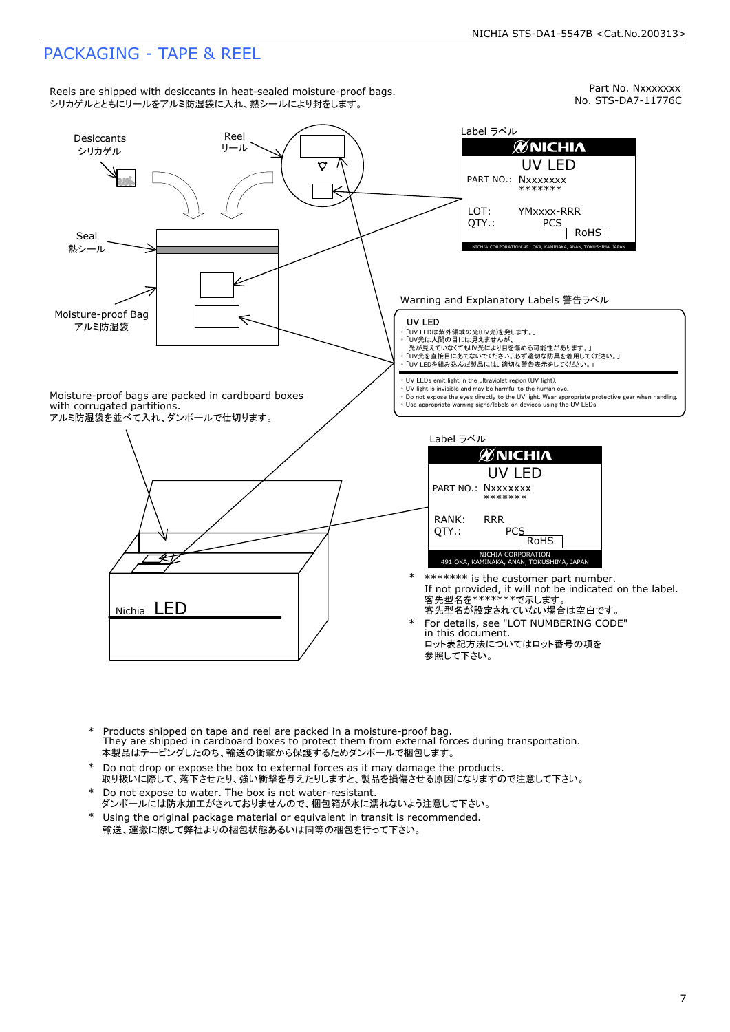Part No. Nxxxxxxx<br>No. STS-DA7-11776C Reels are shipped with desiccants in heat-sealed moisture-proof bags.<br>シリカゲルとともにリールをアルミ防湿袋に入れ、熱シールにより封をします。 Label ラベル Desiccants Reel<br>シリカゲル リール **ØNICHIA** RoHS Nxxxxxxx UV LED \*\*\*\*\*\*\* Q NICHIA CORPORATION <sup>491</sup> OKA, KAMINAKA, ANAN, TOKUSHIMA, JAPAN LOT: QTY.: YMxxxx-RRR PCS PART NO.: Seal<br>熱シール Warning and Explanatory Labels 警告ラベル Moisture-proof Bag UV LED アルミ防湿袋 ・ 「UV LEDは紫外領域の光(UV光)を発します。」 ・ 「UV光は人間の目には見えませんが、<br>- 光が見えていなくてもUV光により目を傷める可能性があります。」<br>・ 「UV光を直接目にあてないでください。必ず適切な防具を着用してください。」 ・ 「UV LEDを組み込んだ製品には、適切な警告表示をしてください。」 ・ UV LEDs emit light in the ultraviolet region (UV light). ・ UV light is invisible and may be harmful to the human eye. Moisture-proof bags are packed in cardboard boxes ・ Do not expose the eyes directly to the UV light. Wear appropriate protective gear when handling. with corrugated partitions. ・ Use appropriate warning signs/labels on devices using the UV LEDs. アルミ防湿袋を並べて入れ、ダンボールで仕切ります。 Label ラベル **ØNICHIA** UV LED<br>
PART NO.:  $Nxxxxxxx$ <br>
\*\*\*\*\*\*<br>
RANK: RRR<br>
QTY.:  $PCS$ PART NO.: NXXXXXXX<br>
\*\*\*\*\*\*\*<br>
RANK: RRR<br>
QTY.: PCS<br>
MICHIA CORPORATION<br>
491 OKA, KAMINAKA, ANAN, TOKUSHIMA, JAPAN RANK:<br>OTY.: \* \*\*\*\*\*\*\*\* is the customer part number.<br>If not provided, it will not be indicated on the label.<br>客先型名を\*\*\*\*\*\*\*で示します。<br>そ先型名が設定されていない場合は空白です。<br>in this document.<br>in this document.<br>ロット表記方法についてはロット番号の項を Nichia LED For details, see "LOT NUMBERING CODE" \* in this document. 参照して下さい。

- Products shipped on tape and reel are packed in a moisture-proof bag. They are shipped in cardboard boxes to protect them from external forces during transportation. 本製品はテーピングしたのち、輸送の衝撃から保護するためダンボールで梱包します。 \*
- Do not drop or expose the box to external forces as it may damage the products. 取り扱いに際して、落下させたり、強い衝撃を与えたりしますと、製品を損傷させる原因になりますので注意して下さい。 \*
- Do not expose to water. The box is not water-resistant. ダンボールには防水加工がされておりませんので、梱包箱が水に濡れないよう注意して下さい。 \*
- \* Using the original package material or equivalent in transit is recommended. 輸送、運搬に際して弊社よりの梱包状態あるいは同等の梱包を行って下さい。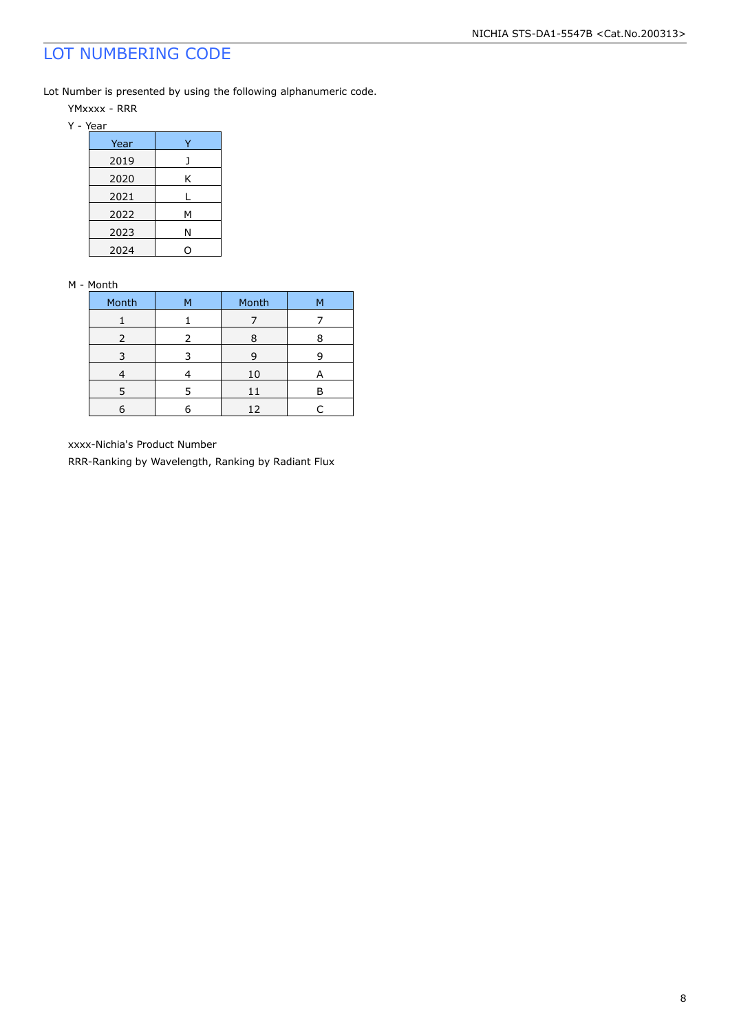## LOT NUMBERING CODE

Lot Number is presented by using the following alphanumeric code.

YMxxxx - RRR

Y - Year

| Year |   |
|------|---|
| 2019 |   |
| 2020 | Κ |
| 2021 |   |
| 2022 | м |
| 2023 | Ν |
| 2024 |   |

#### M - Month

| Month | м | Month | M |
|-------|---|-------|---|
|       |   |       |   |
| 2     |   | Ο     |   |
|       |   | q     |   |
|       |   | 10    |   |
|       |   | 11    |   |
|       |   | 12    |   |

xxxx-Nichia's Product Number

RRR-Ranking by Wavelength, Ranking by Radiant Flux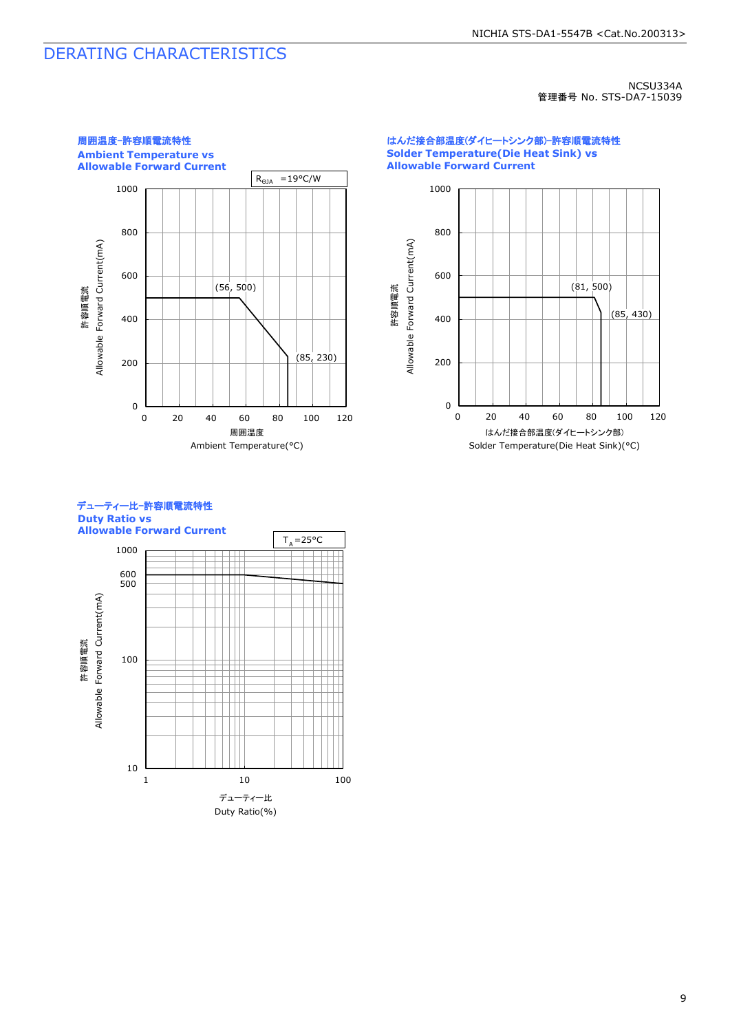## DERATING CHARACTERISTICS

NCSU334A 管理番号 No. STS-DA7-15039



はんだ接合部温度(ダイヒートシンク部)-許容順電流特性 **Solder Temperature(Die Heat Sink) vs Allowable Forward Current**

![](_page_9_Figure_5.jpeg)

#### デューティー比-許容順電流特性 **Duty Ratio vs**

10 100 1000 1 10 100 500 600 許容順電流<br>Allowable Forward Current(mA) Allowable Forward Current(mA) デューティー比 Duty Ratio(%) **Allowable Forward Current**  $T_A = 25^{\circ}C$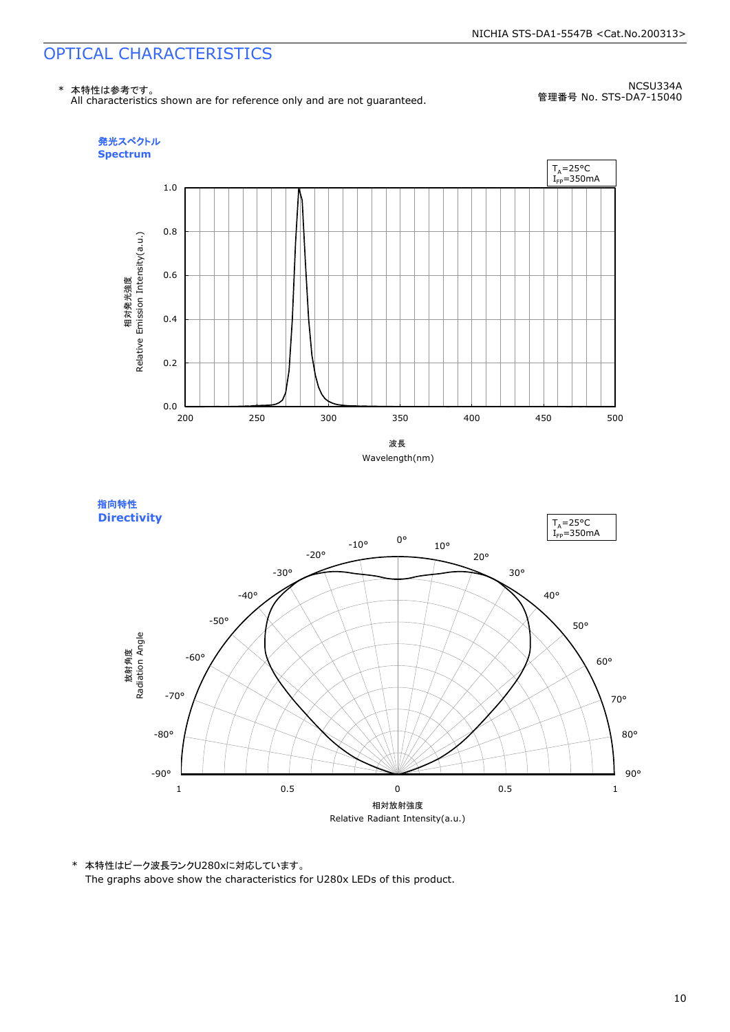## OPTICAL CHARACTERISTICS

![](_page_10_Figure_2.jpeg)

NCSU334A 管理番号 No. STS-DA7-15040

![](_page_10_Figure_4.jpeg)

![](_page_10_Figure_5.jpeg)

![](_page_10_Figure_6.jpeg)

\* 本特性はピーク波長ランクU280xに対応しています。 The graphs above show the characteristics for U280x LEDs of this product.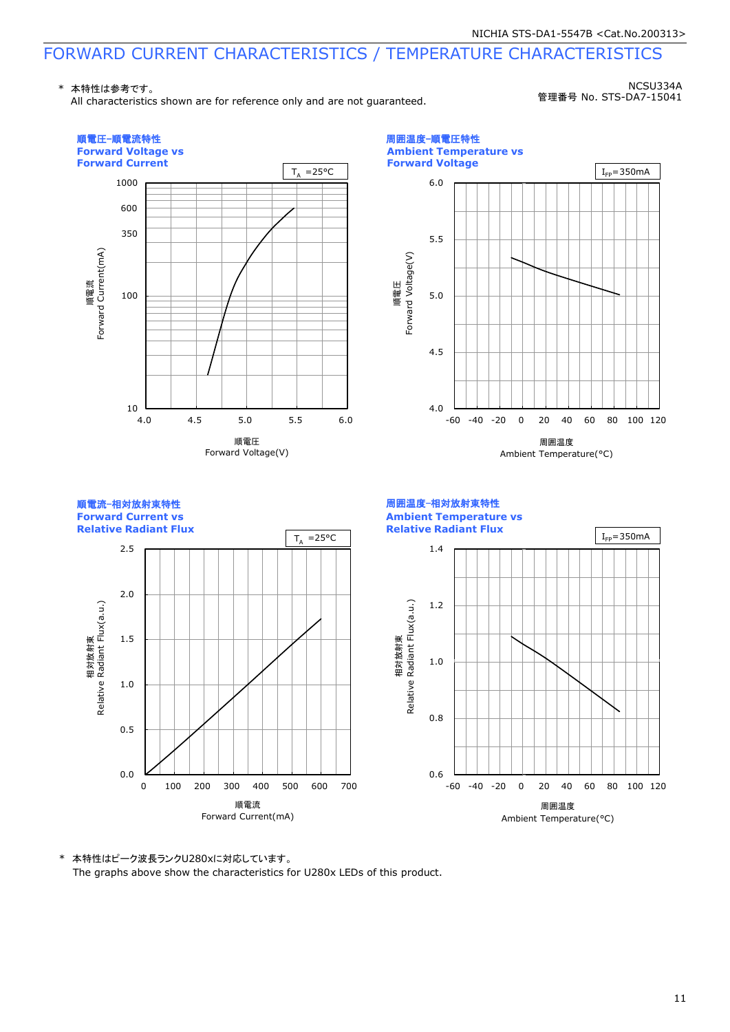## FORWARD CURRENT CHARACTERISTICS / TEMPERATURE CHARACTERISTICS

\* 本特性は参考です。

All characteristics shown are for reference only and are not guaranteed.

NCSU334A 管理番号 No. STS-DA7-15041

![](_page_11_Figure_5.jpeg)

\* 本特性はピーク波長ランクU280xに対応しています。 The graphs above show the characteristics for U280x LEDs of this product.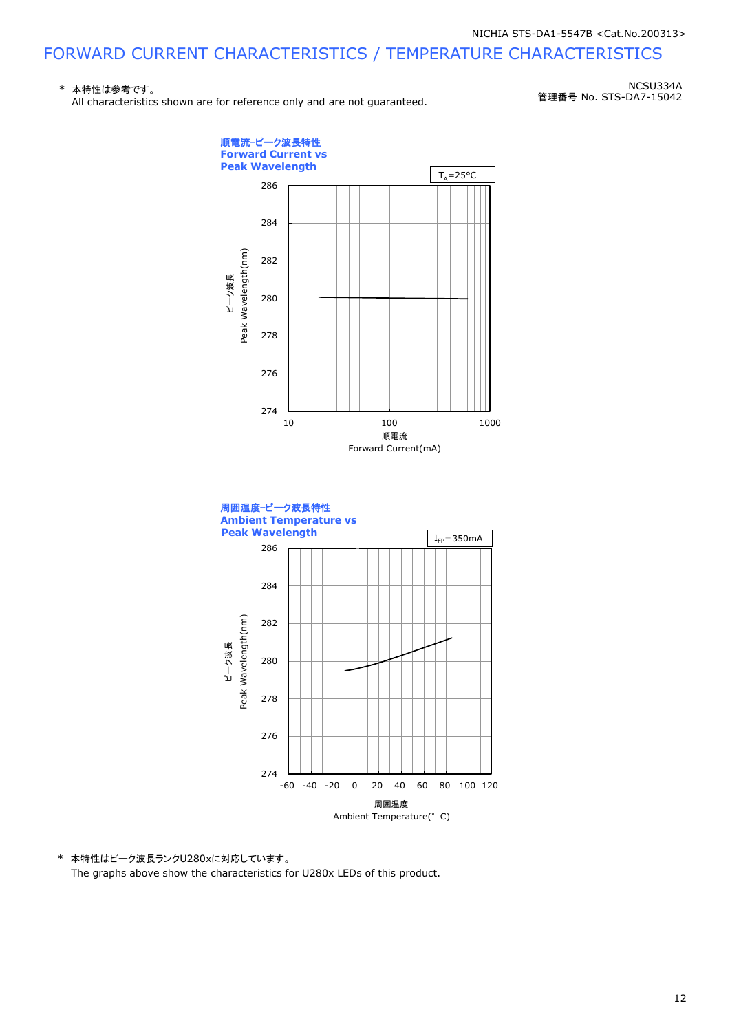## FORWARD CURRENT CHARACTERISTICS / TEMPERATURE CHARACTERISTICS

#### \* 本特性は参考です。

All characteristics shown are for reference only and are not guaranteed.

NCSU334A 管理番号 No. STS-DA7-15042

![](_page_12_Figure_5.jpeg)

\* 本特性はピーク波長ランクU280xに対応しています。 The graphs above show the characteristics for U280x LEDs of this product.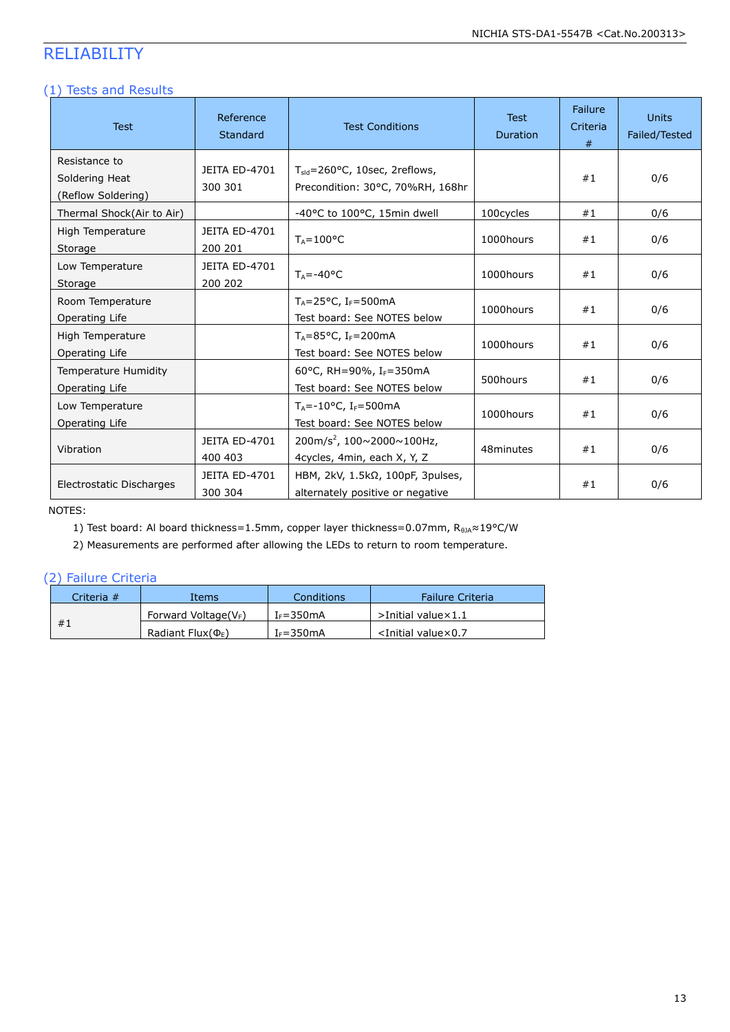## RELIABILITY

#### (1) Tests and Results

| <b>Test</b>                                           | Reference<br><b>Standard</b> | <b>Test Conditions</b>                                                             | <b>Test</b><br><b>Duration</b> | <b>Failure</b><br>Criteria<br># | <b>Units</b><br>Failed/Tested |
|-------------------------------------------------------|------------------------------|------------------------------------------------------------------------------------|--------------------------------|---------------------------------|-------------------------------|
| Resistance to<br>Soldering Heat<br>(Reflow Soldering) | JEITA ED-4701<br>300 301     | $T_{\text{std}}$ =260°C, 10sec, 2reflows,<br>Precondition: 30°C, 70%RH, 168hr      |                                | #1                              | 0/6                           |
| Thermal Shock(Air to Air)                             |                              | -40°C to 100°C, 15min dwell                                                        | 100cycles                      | #1                              | 0/6                           |
| High Temperature<br>Storage                           | JEITA ED-4701<br>200 201     | $T_A = 100$ °C                                                                     | 1000hours                      | #1                              | 0/6                           |
| Low Temperature<br>Storage                            | JEITA ED-4701<br>200 202     | $T_A = -40$ °C                                                                     | 1000hours                      | #1                              | 0/6                           |
| Room Temperature<br>Operating Life                    |                              | $T_A = 25^{\circ}C$ , I <sub>F</sub> =500mA<br>Test board: See NOTES below         | 1000hours                      | #1                              | 0/6                           |
| High Temperature<br>Operating Life                    |                              | $T_A = 85^{\circ}C$ , I <sub>F</sub> =200mA<br>Test board: See NOTES below         | 1000hours                      | #1                              | 0/6                           |
| Temperature Humidity<br>Operating Life                |                              | 60°C, RH=90%, I <sub>F</sub> =350mA<br>500hours<br>Test board: See NOTES below     |                                | #1                              | 0/6                           |
| Low Temperature<br>Operating Life                     |                              | $T_A = -10$ °C, I <sub>F</sub> =500 mA<br>Test board: See NOTES below              | 1000hours                      | #1                              | 0/6                           |
| Vibration                                             | JEITA ED-4701<br>400 403     | 200m/s <sup>2</sup> , 100 $\sim$ 2000 $\sim$ 100Hz,<br>4cycles, 4min, each X, Y, Z | 48minutes                      | #1                              | 0/6                           |
| Electrostatic Discharges                              | JEITA ED-4701<br>300 304     | HBM, $2kV$ , $1.5k\Omega$ , $100pF$ , 3pulses,<br>alternately positive or negative |                                | #1                              | 0/6                           |

NOTES:

1) Test board: Al board thickness=1.5mm, copper layer thickness=0.07mm, R<sub>0JA</sub>≈19°C/W

2) Measurements are performed after allowing the LEDs to return to room temperature.

#### (2) Failure Criteria

| Criteria # | Items                    | Conditions    | Failure Criteria                 |
|------------|--------------------------|---------------|----------------------------------|
|            | Forward Voltage( $V_F$ ) | $I_F = 350mA$ | $>$ Initial value $\times$ 1.1   |
| #1         | Radiant Flux( $\Phi_F$ ) | $I_F = 350mA$ | $\le$ Initial value $\times$ 0.7 |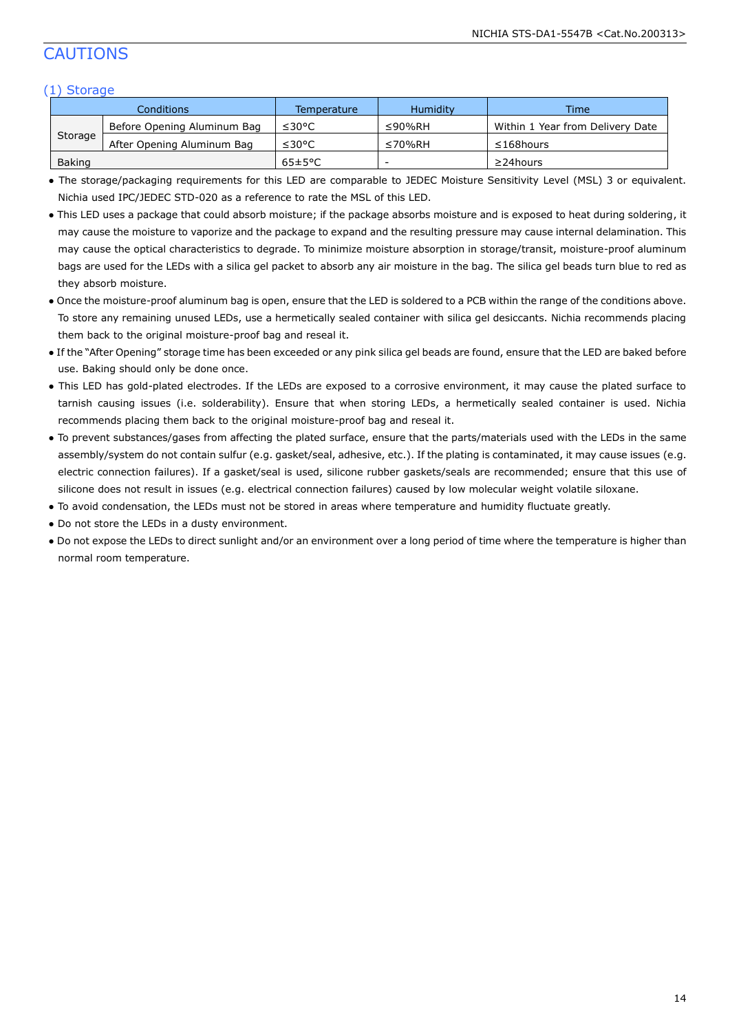## CAUTIONS

#### (1) Storage

|         | Conditions                  | Temperature | <b>Humidity</b> | <b>Time</b>                      |
|---------|-----------------------------|-------------|-----------------|----------------------------------|
|         | Before Opening Aluminum Bag | ≤30°C       | $\leq$ 90%RH    | Within 1 Year from Delivery Date |
| Storage | After Opening Aluminum Bag  | ≤30°C       | ≤70%RH          | $\leq$ 168 hours                 |
| Baking  |                             | 65±5°C      | -               | $\geq$ 24 hours                  |

● The storage/packaging requirements for this LED are comparable to JEDEC Moisture Sensitivity Level (MSL) 3 or equivalent. Nichia used IPC/JEDEC STD-020 as a reference to rate the MSL of this LED.

- This LED uses a package that could absorb moisture; if the package absorbs moisture and is exposed to heat during soldering, it may cause the moisture to vaporize and the package to expand and the resulting pressure may cause internal delamination. This may cause the optical characteristics to degrade. To minimize moisture absorption in storage/transit, moisture-proof aluminum bags are used for the LEDs with a silica gel packet to absorb any air moisture in the bag. The silica gel beads turn blue to red as they absorb moisture.
- Once the moisture-proof aluminum bag is open, ensure that the LED is soldered to a PCB within the range of the conditions above. To store any remaining unused LEDs, use a hermetically sealed container with silica gel desiccants. Nichia recommends placing them back to the original moisture-proof bag and reseal it.
- If the "After Opening" storage time has been exceeded or any pink silica gel beads are found, ensure that the LED are baked before use. Baking should only be done once.
- This LED has gold-plated electrodes. If the LEDs are exposed to a corrosive environment, it may cause the plated surface to tarnish causing issues (i.e. solderability). Ensure that when storing LEDs, a hermetically sealed container is used. Nichia recommends placing them back to the original moisture-proof bag and reseal it.
- To prevent substances/gases from affecting the plated surface, ensure that the parts/materials used with the LEDs in the same assembly/system do not contain sulfur (e.g. gasket/seal, adhesive, etc.). If the plating is contaminated, it may cause issues (e.g. electric connection failures). If a gasket/seal is used, silicone rubber gaskets/seals are recommended; ensure that this use of silicone does not result in issues (e.g. electrical connection failures) caused by low molecular weight volatile siloxane.
- To avoid condensation, the LEDs must not be stored in areas where temperature and humidity fluctuate greatly.
- Do not store the LEDs in a dusty environment.
- Do not expose the LEDs to direct sunlight and/or an environment over a long period of time where the temperature is higher than normal room temperature.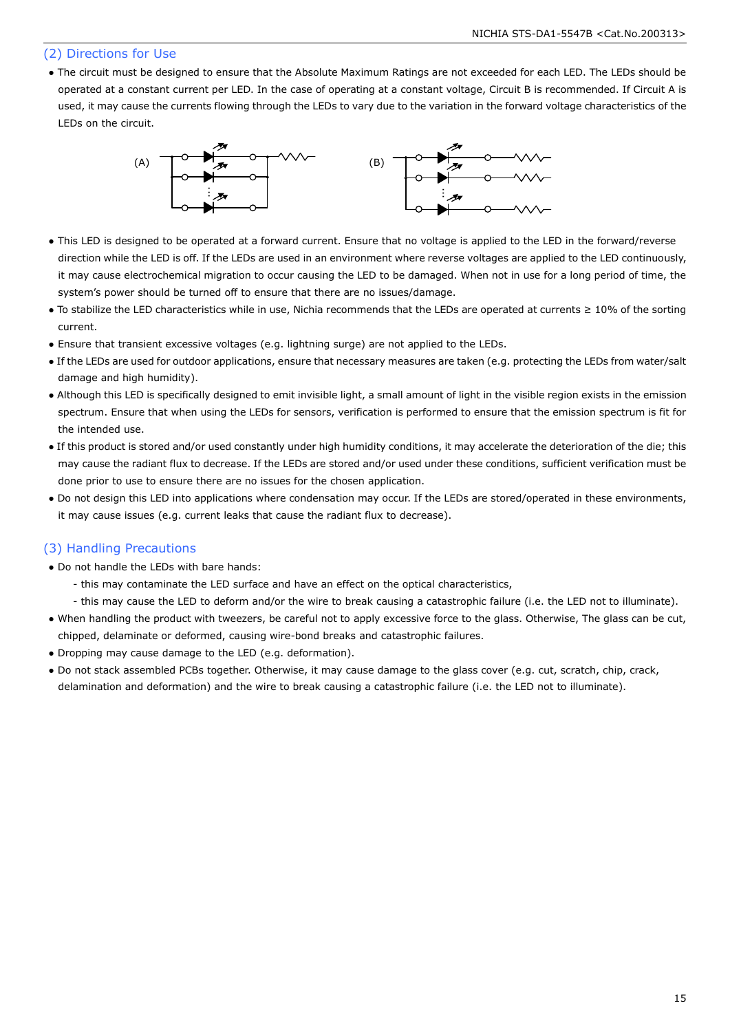#### (2) Directions for Use

● The circuit must be designed to ensure that the Absolute Maximum Ratings are not exceeded for each LED. The LEDs should be operated at a constant current per LED. In the case of operating at a constant voltage, Circuit B is recommended. If Circuit A is used, it may cause the currents flowing through the LEDs to vary due to the variation in the forward voltage characteristics of the LEDs on the circuit.

![](_page_15_Figure_3.jpeg)

- This LED is designed to be operated at a forward current. Ensure that no voltage is applied to the LED in the forward/reverse direction while the LED is off. If the LEDs are used in an environment where reverse voltages are applied to the LED continuously, it may cause electrochemical migration to occur causing the LED to be damaged. When not in use for a long period of time, the system's power should be turned off to ensure that there are no issues/damage.
- To stabilize the LED characteristics while in use, Nichia recommends that the LEDs are operated at currents ≥ 10% of the sorting current.
- Ensure that transient excessive voltages (e.g. lightning surge) are not applied to the LEDs.
- If the LEDs are used for outdoor applications, ensure that necessary measures are taken (e.g. protecting the LEDs from water/salt damage and high humidity).
- Although this LED is specifically designed to emit invisible light, a small amount of light in the visible region exists in the emission spectrum. Ensure that when using the LEDs for sensors, verification is performed to ensure that the emission spectrum is fit for the intended use.
- If this product is stored and/or used constantly under high humidity conditions, it may accelerate the deterioration of the die; this may cause the radiant flux to decrease. If the LEDs are stored and/or used under these conditions, sufficient verification must be done prior to use to ensure there are no issues for the chosen application.
- Do not design this LED into applications where condensation may occur. If the LEDs are stored/operated in these environments, it may cause issues (e.g. current leaks that cause the radiant flux to decrease).

#### (3) Handling Precautions

- Do not handle the LEDs with bare hands:
	- this may contaminate the LED surface and have an effect on the optical characteristics,
	- this may cause the LED to deform and/or the wire to break causing a catastrophic failure (i.e. the LED not to illuminate).
- When handling the product with tweezers, be careful not to apply excessive force to the glass. Otherwise, The glass can be cut, chipped, delaminate or deformed, causing wire-bond breaks and catastrophic failures.
- Dropping may cause damage to the LED (e.g. deformation).
- Do not stack assembled PCBs together. Otherwise, it may cause damage to the glass cover (e.g. cut, scratch, chip, crack, delamination and deformation) and the wire to break causing a catastrophic failure (i.e. the LED not to illuminate).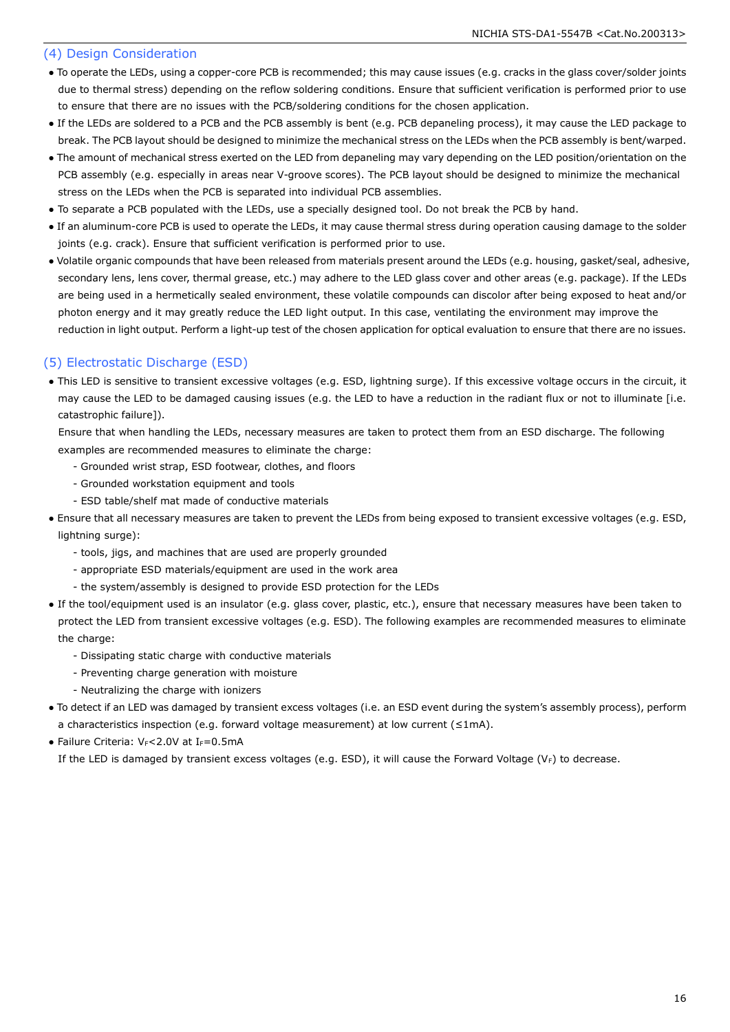#### (4) Design Consideration

- To operate the LEDs, using a copper-core PCB is recommended; this may cause issues (e.g. cracks in the glass cover/solder joints due to thermal stress) depending on the reflow soldering conditions. Ensure that sufficient verification is performed prior to use to ensure that there are no issues with the PCB/soldering conditions for the chosen application.
- If the LEDs are soldered to a PCB and the PCB assembly is bent (e.g. PCB depaneling process), it may cause the LED package to break. The PCB layout should be designed to minimize the mechanical stress on the LEDs when the PCB assembly is bent/warped.
- The amount of mechanical stress exerted on the LED from depaneling may vary depending on the LED position/orientation on the PCB assembly (e.g. especially in areas near V-groove scores). The PCB layout should be designed to minimize the mechanical stress on the LEDs when the PCB is separated into individual PCB assemblies.
- To separate a PCB populated with the LEDs, use a specially designed tool. Do not break the PCB by hand.
- If an aluminum-core PCB is used to operate the LEDs, it may cause thermal stress during operation causing damage to the solder joints (e.g. crack). Ensure that sufficient verification is performed prior to use.
- Volatile organic compounds that have been released from materials present around the LEDs (e.g. housing, gasket/seal, adhesive, secondary lens, lens cover, thermal grease, etc.) may adhere to the LED glass cover and other areas (e.g. package). If the LEDs are being used in a hermetically sealed environment, these volatile compounds can discolor after being exposed to heat and/or photon energy and it may greatly reduce the LED light output. In this case, ventilating the environment may improve the reduction in light output. Perform a light-up test of the chosen application for optical evaluation to ensure that there are no issues.

#### (5) Electrostatic Discharge (ESD)

● This LED is sensitive to transient excessive voltages (e.g. ESD, lightning surge). If this excessive voltage occurs in the circuit, it may cause the LED to be damaged causing issues (e.g. the LED to have a reduction in the radiant flux or not to illuminate [i.e. catastrophic failure]).

 Ensure that when handling the LEDs, necessary measures are taken to protect them from an ESD discharge. The following examples are recommended measures to eliminate the charge:

- Grounded wrist strap, ESD footwear, clothes, and floors
- Grounded workstation equipment and tools
- ESD table/shelf mat made of conductive materials
- Ensure that all necessary measures are taken to prevent the LEDs from being exposed to transient excessive voltages (e.g. ESD, lightning surge):
	- tools, jigs, and machines that are used are properly grounded
	- appropriate ESD materials/equipment are used in the work area
	- the system/assembly is designed to provide ESD protection for the LEDs
- If the tool/equipment used is an insulator (e.g. glass cover, plastic, etc.), ensure that necessary measures have been taken to protect the LED from transient excessive voltages (e.g. ESD). The following examples are recommended measures to eliminate the charge:
	- Dissipating static charge with conductive materials
	- Preventing charge generation with moisture
	- Neutralizing the charge with ionizers
- To detect if an LED was damaged by transient excess voltages (i.e. an ESD event during the system's assembly process), perform a characteristics inspection (e.g. forward voltage measurement) at low current ( $\leq 1$ mA).
- Failure Criteria:  $V_F$ <2.0V at I $_F$ =0.5mA

If the LED is damaged by transient excess voltages (e.g. ESD), it will cause the Forward Voltage (V<sub>F</sub>) to decrease.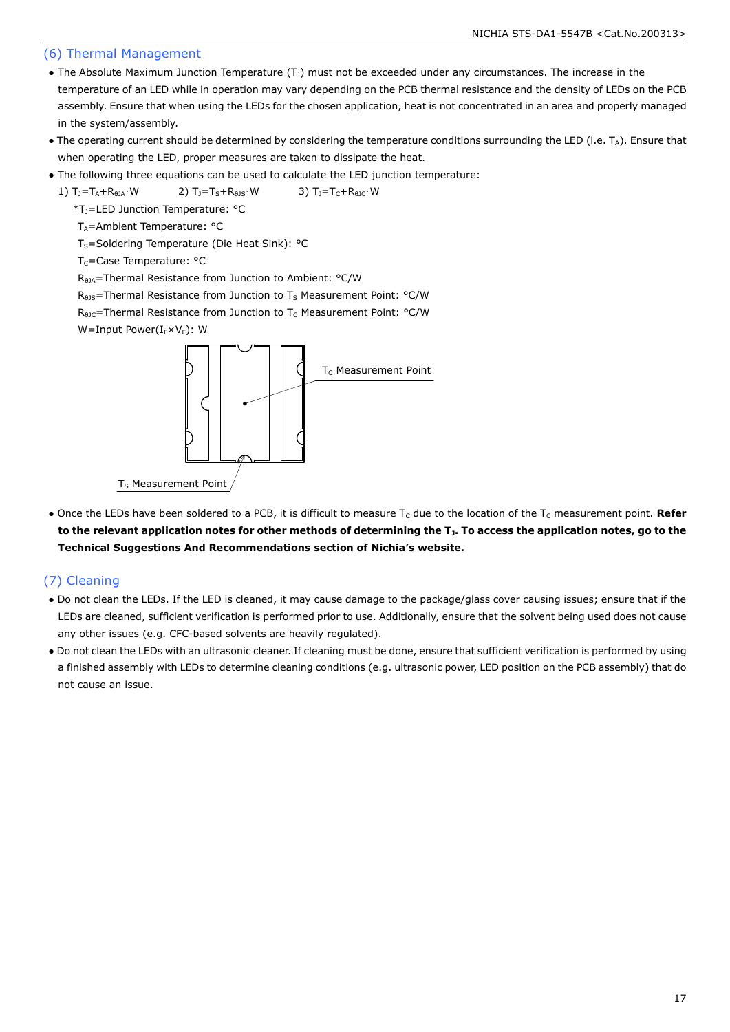#### (6) Thermal Management

- The Absolute Maximum Junction Temperature  $(T<sub>J</sub>)$  must not be exceeded under any circumstances. The increase in the temperature of an LED while in operation may vary depending on the PCB thermal resistance and the density of LEDs on the PCB assembly. Ensure that when using the LEDs for the chosen application, heat is not concentrated in an area and properly managed in the system/assembly.
- The operating current should be determined by considering the temperature conditions surrounding the LED (i.e.  $T_A$ ). Ensure that when operating the LED, proper measures are taken to dissipate the heat.
- The following three equations can be used to calculate the LED junction temperature:

1)  $T_1 = T_A + R_{\theta JA} \cdot W$  2)  $T_1 = T_S + R_{\theta JS} \cdot W$  3)  $T_1 = T_C + R_{\theta JC} \cdot W$ 

\*TJ=LED Junction Temperature: °C

 $T_A$ =Ambient Temperature: °C

T<sub>S</sub>=Soldering Temperature (Die Heat Sink): °C

T<sub>C</sub>=Case Temperature: °C

R<sub>θJA</sub>=Thermal Resistance from Junction to Ambient: °C/W

 $R<sub>0JS</sub>$ =Thermal Resistance from Junction to T<sub>S</sub> Measurement Point: °C/W

 $R_{\theta$ JC=Thermal Resistance from Junction to T<sub>C</sub> Measurement Point: °C/W

W=Input Power( $I_F\times V_F$ ): W

![](_page_17_Figure_14.jpeg)

• Once the LEDs have been soldered to a PCB, it is difficult to measure T<sub>c</sub> due to the location of the T<sub>c</sub> measurement point. Refer **to the relevant application notes for other methods of determining the TJ. To access the application notes, go to the Technical Suggestions And Recommendations section of Nichia's website.**

#### (7) Cleaning

- Do not clean the LEDs. If the LED is cleaned, it may cause damage to the package/glass cover causing issues; ensure that if the LEDs are cleaned, sufficient verification is performed prior to use. Additionally, ensure that the solvent being used does not cause any other issues (e.g. CFC-based solvents are heavily regulated).
- Do not clean the LEDs with an ultrasonic cleaner. If cleaning must be done, ensure that sufficient verification is performed by using a finished assembly with LEDs to determine cleaning conditions (e.g. ultrasonic power, LED position on the PCB assembly) that do not cause an issue.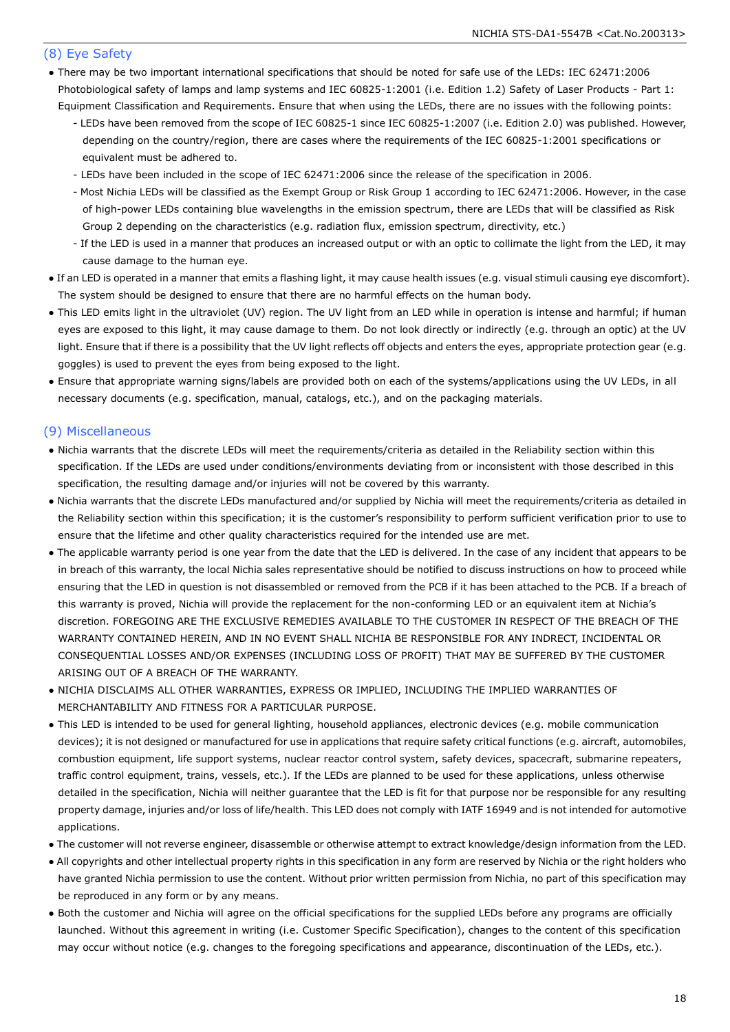#### (8) Eye Safety

- There may be two important international specifications that should be noted for safe use of the LEDs: IEC 62471:2006 Photobiological safety of lamps and lamp systems and IEC 60825-1:2001 (i.e. Edition 1.2) Safety of Laser Products - Part 1: Equipment Classification and Requirements. Ensure that when using the LEDs, there are no issues with the following points:
	- LEDs have been removed from the scope of IEC 60825-1 since IEC 60825-1:2007 (i.e. Edition 2.0) was published. However, depending on the country/region, there are cases where the requirements of the IEC 60825-1:2001 specifications or equivalent must be adhered to.
	- LEDs have been included in the scope of IEC 62471:2006 since the release of the specification in 2006.
	- Most Nichia LEDs will be classified as the Exempt Group or Risk Group 1 according to IEC 62471:2006. However, in the case of high-power LEDs containing blue wavelengths in the emission spectrum, there are LEDs that will be classified as Risk Group 2 depending on the characteristics (e.g. radiation flux, emission spectrum, directivity, etc.)
	- If the LED is used in a manner that produces an increased output or with an optic to collimate the light from the LED, it may cause damage to the human eye.
- If an LED is operated in a manner that emits a flashing light, it may cause health issues (e.g. visual stimuli causing eye discomfort). The system should be designed to ensure that there are no harmful effects on the human body.
- This LED emits light in the ultraviolet (UV) region. The UV light from an LED while in operation is intense and harmful; if human eyes are exposed to this light, it may cause damage to them. Do not look directly or indirectly (e.g. through an optic) at the UV light. Ensure that if there is a possibility that the UV light reflects off objects and enters the eyes, appropriate protection gear (e.g. goggles) is used to prevent the eyes from being exposed to the light.
- Ensure that appropriate warning signs/labels are provided both on each of the systems/applications using the UV LEDs, in all necessary documents (e.g. specification, manual, catalogs, etc.), and on the packaging materials.

#### (9) Miscellaneous

- Nichia warrants that the discrete LEDs will meet the requirements/criteria as detailed in the Reliability section within this specification. If the LEDs are used under conditions/environments deviating from or inconsistent with those described in this specification, the resulting damage and/or injuries will not be covered by this warranty.
- Nichia warrants that the discrete LEDs manufactured and/or supplied by Nichia will meet the requirements/criteria as detailed in the Reliability section within this specification; it is the customer's responsibility to perform sufficient verification prior to use to ensure that the lifetime and other quality characteristics required for the intended use are met.
- The applicable warranty period is one year from the date that the LED is delivered. In the case of any incident that appears to be in breach of this warranty, the local Nichia sales representative should be notified to discuss instructions on how to proceed while ensuring that the LED in question is not disassembled or removed from the PCB if it has been attached to the PCB. If a breach of this warranty is proved, Nichia will provide the replacement for the non-conforming LED or an equivalent item at Nichia's discretion. FOREGOING ARE THE EXCLUSIVE REMEDIES AVAILABLE TO THE CUSTOMER IN RESPECT OF THE BREACH OF THE WARRANTY CONTAINED HEREIN, AND IN NO EVENT SHALL NICHIA BE RESPONSIBLE FOR ANY INDRECT, INCIDENTAL OR CONSEQUENTIAL LOSSES AND/OR EXPENSES (INCLUDING LOSS OF PROFIT) THAT MAY BE SUFFERED BY THE CUSTOMER ARISING OUT OF A BREACH OF THE WARRANTY.
- NICHIA DISCLAIMS ALL OTHER WARRANTIES, EXPRESS OR IMPLIED, INCLUDING THE IMPLIED WARRANTIES OF MERCHANTABILITY AND FITNESS FOR A PARTICULAR PURPOSE.
- This LED is intended to be used for general lighting, household appliances, electronic devices (e.g. mobile communication devices); it is not designed or manufactured for use in applications that require safety critical functions (e.g. aircraft, automobiles, combustion equipment, life support systems, nuclear reactor control system, safety devices, spacecraft, submarine repeaters, traffic control equipment, trains, vessels, etc.). If the LEDs are planned to be used for these applications, unless otherwise detailed in the specification, Nichia will neither guarantee that the LED is fit for that purpose nor be responsible for any resulting property damage, injuries and/or loss of life/health. This LED does not comply with IATF 16949 and is not intended for automotive applications.
- The customer will not reverse engineer, disassemble or otherwise attempt to extract knowledge/design information from the LED.
- All copyrights and other intellectual property rights in this specification in any form are reserved by Nichia or the right holders who have granted Nichia permission to use the content. Without prior written permission from Nichia, no part of this specification may be reproduced in any form or by any means.
- Both the customer and Nichia will agree on the official specifications for the supplied LEDs before any programs are officially launched. Without this agreement in writing (i.e. Customer Specific Specification), changes to the content of this specification may occur without notice (e.g. changes to the foregoing specifications and appearance, discontinuation of the LEDs, etc.).